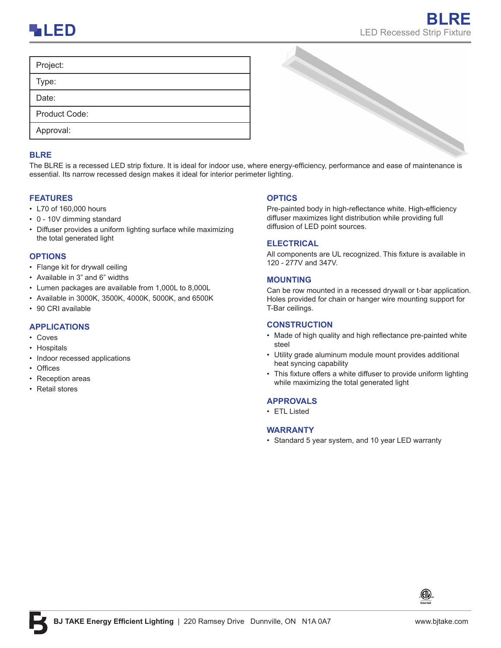

| Project:      |                                                                                                                                       |
|---------------|---------------------------------------------------------------------------------------------------------------------------------------|
| Type:         |                                                                                                                                       |
| Date:         |                                                                                                                                       |
| Product Code: |                                                                                                                                       |
| Approval:     |                                                                                                                                       |
| <b>BLRE</b>   |                                                                                                                                       |
|               | The BLRE is a recessed LED strip fixture. It is ideal for indoor use, where energy-efficiency, performance and ease of maintenance is |

### **BLRE**

essential. Its narrow recessed design makes it ideal for interior perimeter lighting.

### **FEATURES**

- L70 of 160,000 hours
- 0 10V dimming standard
- Diffuser provides a uniform lighting surface while maximizing the total generated light

#### **OPTIONS**

- Flange kit for drywall ceiling
- Available in 3" and 6" widths
- Lumen packages are available from 1,000L to 8,000L
- Available in 3000K, 3500K, 4000K, 5000K, and 6500K
- 90 CRI available

## **APPLICATIONS**

- Coves
- Hospitals
- Indoor recessed applications
- Offices
- Reception areas
- Retail stores

### **OPTICS**

Pre-painted body in high-reflectance white. High-efficiency diffuser maximizes light distribution while providing full diffusion of LED point sources.

### **ELECTRICAL**

All components are UL recognized. This fixture is available in 120 - 277V and 347V.

#### **MOUNTING**

Can be row mounted in a recessed drywall or t-bar application. Holes provided for chain or hanger wire mounting support for T-Bar ceilings.

#### **CONSTRUCTION**

- Made of high quality and high reflectance pre-painted white steel
- Utility grade aluminum module mount provides additional heat syncing capability
- This fixture offers a white diffuser to provide uniform lighting while maximizing the total generated light

### **APPROVALS**

• ETL Listed

### **WARRANTY**

• Standard 5 year system, and 10 year LED warranty

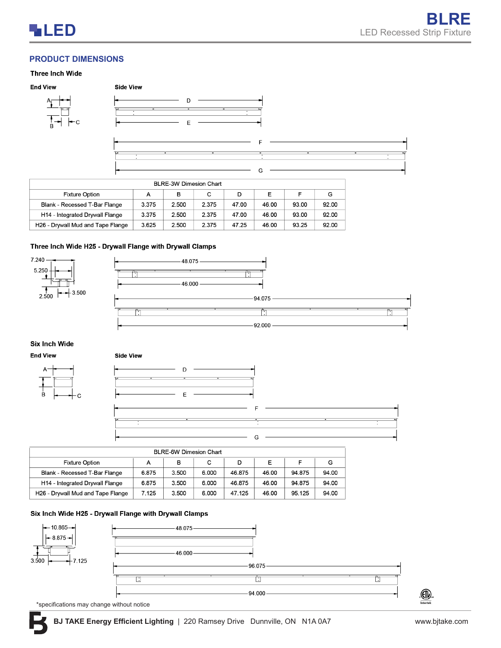# **PRODUCT DIMENSIONS**

#### **Three Inch Wide**











| BLRE-3W Dimesion Chart            |       |       |       |       |       |       |       |  |  |
|-----------------------------------|-------|-------|-------|-------|-------|-------|-------|--|--|
| <b>Fixture Option</b>             | А     | в     | с     | D     | E     |       | G     |  |  |
| Blank - Recessed T-Bar Flange     | 3.375 | 2.500 | 2.375 | 47.00 | 46.00 | 93.00 | 92.00 |  |  |
| H14 - Integrated Drywall Flange   | 3.375 | 2.500 | 2.375 | 47.00 | 46.00 | 93.00 | 92.00 |  |  |
| H26 - Drywall Mud and Tape Flange | 3.625 | 2.500 | 2.375 | 47.25 | 46.00 | 93.25 | 92.00 |  |  |

### Three Inch Wide H25 - Drywall Flange with Drywall Clamps

 $\mathbf{a}$  :  $\mathbf{a}$  =  $\mathbf{a}$  =  $\mathbf{a}$ 



## **Six Inch Wide**





| <b>Side View</b>         |                                                      |                               |                          |  |
|--------------------------|------------------------------------------------------|-------------------------------|--------------------------|--|
|                          | D                                                    |                               |                          |  |
| $\overline{\phantom{a}}$ | $\overline{\phantom{a}}$<br>$\overline{\phantom{a}}$ |                               |                          |  |
|                          | E                                                    |                               |                          |  |
|                          |                                                      |                               |                          |  |
|                          | -                                                    | $\overline{\phantom{a}}$<br>⇁ | $\overline{\phantom{a}}$ |  |
|                          |                                                      | ٠                             |                          |  |
|                          |                                                      | G                             |                          |  |

| <b>BLRE-6W Dimesion Chart</b>                       |       |       |       |        |       |        |       |  |
|-----------------------------------------------------|-------|-------|-------|--------|-------|--------|-------|--|
| Е<br><b>Fixture Option</b><br>с<br>в<br>G<br>D<br>А |       |       |       |        |       |        |       |  |
| Blank - Recessed T-Bar Flange                       | 6.875 | 3.500 | 6.000 | 46.875 | 46.00 | 94.875 | 94.00 |  |
| H14 - Integrated Drywall Flange                     | 6.875 | 3.500 | 6.000 | 46.875 | 46.00 | 94.875 | 94.00 |  |
| H26 - Drywall Mud and Tape Flange                   | 7.125 | 3.500 | 6.000 | 47.125 | 46.00 | 95.125 | 94.00 |  |

## Six Inch Wide H25 - Drywall Flange with Drywall Clamps



\*specifications may change without notice